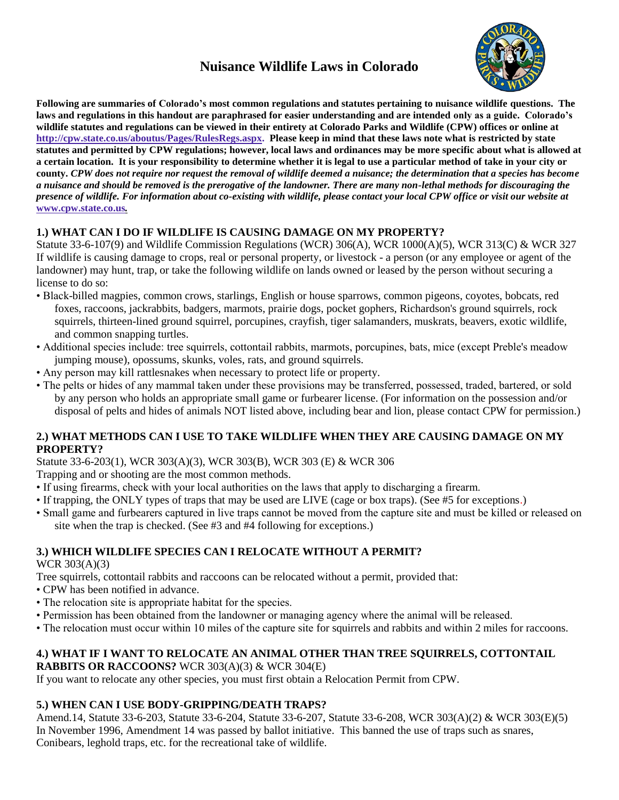# **Nuisance Wildlife Laws in Colorado**



**Following are summaries of Colorado's most common regulations and statutes pertaining to nuisance wildlife questions. The laws and regulations in this handout are paraphrased for easier understanding and are intended only as a guide. Colorado's wildlife statutes and regulations can be viewed in their entirety at Colorado Parks and Wildlife (CPW) offices or online at http://cpw.state.co.us/aboutus/Pages/RulesRegs.aspx. Please keep in mind that these laws note what is restricted by state statutes and permitted by CPW regulations; however, local laws and ordinances may be more specific about what is allowed at a certain location. It is your responsibility to determine whether it is legal to use a particular method of take in your city or county.** *CPW does not require nor request the removal of wildlife deemed a nuisance; the determination that a species has become a nuisance and should be removed is the prerogative of the landowner. There are many non-lethal methods for discouraging the presence of wildlife. For information about co-existing with wildlife, please contact your local CPW office or visit our website at* **www.cpw.state.co.us***.*

# **1.) WHAT CAN I DO IF WILDLIFE IS CAUSING DAMAGE ON MY PROPERTY?**

Statute 33-6-107(9) and Wildlife Commission Regulations (WCR) 306(A), WCR 1000(A)(5), WCR 313(C) & WCR 327 If wildlife is causing damage to crops, real or personal property, or livestock - a person (or any employee or agent of the landowner) may hunt, trap, or take the following wildlife on lands owned or leased by the person without securing a license to do so:

- Black-billed magpies, common crows, starlings, English or house sparrows, common pigeons, coyotes, bobcats, red foxes, raccoons, jackrabbits, badgers, marmots, prairie dogs, pocket gophers, Richardson's ground squirrels, rock squirrels, thirteen-lined ground squirrel, porcupines, crayfish, tiger salamanders, muskrats, beavers, exotic wildlife, and common snapping turtles.
- Additional species include: tree squirrels, cottontail rabbits, marmots, porcupines, bats, mice (except Preble's meadow jumping mouse), opossums, skunks, voles, rats, and ground squirrels.
- Any person may kill rattlesnakes when necessary to protect life or property.
- The pelts or hides of any mammal taken under these provisions may be transferred, possessed, traded, bartered, or sold by any person who holds an appropriate small game or furbearer license. (For information on the possession and/or disposal of pelts and hides of animals NOT listed above, including bear and lion, please contact CPW for permission.)

### **2.) WHAT METHODS CAN I USE TO TAKE WILDLIFE WHEN THEY ARE CAUSING DAMAGE ON MY PROPERTY?**

Statute 33-6-203(1), WCR 303(A)(3), WCR 303(B), WCR 303 (E) & WCR 306

Trapping and or shooting are the most common methods.

- If using firearms, check with your local authorities on the laws that apply to discharging a firearm.
- If trapping, the ONLY types of traps that may be used are LIVE (cage or box traps). (See #5 for exceptions.)
- Small game and furbearers captured in live traps cannot be moved from the capture site and must be killed or released on site when the trap is checked. (See #3 and #4 following for exceptions.)

# **3.) WHICH WILDLIFE SPECIES CAN I RELOCATE WITHOUT A PERMIT?**

WCR 303(A)(3)

Tree squirrels, cottontail rabbits and raccoons can be relocated without a permit, provided that:

- CPW has been notified in advance.
- The relocation site is appropriate habitat for the species.
- Permission has been obtained from the landowner or managing agency where the animal will be released.
- The relocation must occur within 10 miles of the capture site for squirrels and rabbits and within 2 miles for raccoons.

#### **4.) WHAT IF I WANT TO RELOCATE AN ANIMAL OTHER THAN TREE SQUIRRELS, COTTONTAIL RABBITS OR RACCOONS?** WCR 303(A)(3) & WCR 304(E)

If you want to relocate any other species, you must first obtain a Relocation Permit from CPW.

# **5.) WHEN CAN I USE BODY-GRIPPING/DEATH TRAPS?**

Amend.14, Statute 33-6-203, Statute 33-6-204, Statute 33-6-207, Statute 33-6-208, WCR 303(A)(2) & WCR 303(E)(5) In November 1996, Amendment 14 was passed by ballot initiative. This banned the use of traps such as snares, Conibears, leghold traps, etc. for the recreational take of wildlife.